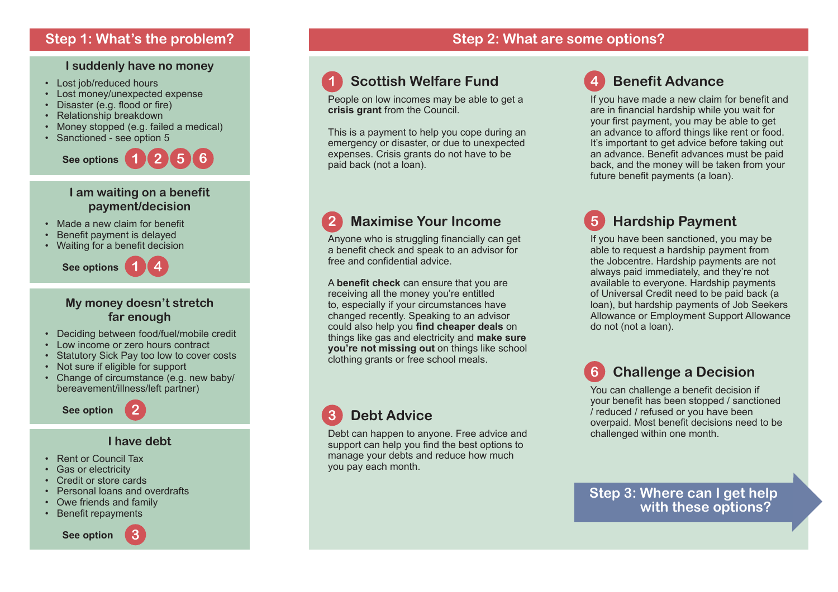#### **I suddenly have no money**

- Lost job/reduced hours
- Lost money/unexpected expense
- Disaster (e.g. flood or fire)
- Relationship breakdown
- Money stopped (e.g. failed a medical)
- Sanctioned see option 5



#### **I am waiting on a benefit payment/decision**

- Made a new claim for benefit
- Benefit payment is delayed
- Waiting for a benefit decision



#### **My money doesn't stretch far enough**

- Deciding between food/fuel/mobile credit
- Low income or zero hours contract
- Statutory Sick Pay too low to cover costs
- Not sure if eligible for support
- Change of circumstance (e.g. new baby/ bereavement/illness/left partner)



#### **I have debt**

**2**

- Rent or Council Tax
- Gas or electricity
- Credit or store cards
- Personal loans and overdrafts
- Owe friends and family
- Benefit repayments

**See option** 

#### **Step 1: What's the problem? Step 2: What are some options?**



### **1 Scottish Welfare Fund**

People on low incomes may be able to get a **crisis grant** from the Council.

This is a payment to help you cope during an emergency or disaster, or due to unexpected expenses. Crisis grants do not have to be paid back (not a loan).

## **2 Maximise Your Income**

Anyone who is struggling financially can get a benefit check and speak to an advisor for free and confidential advice.

A **benefit check** can ensure that you are receiving all the money you're entitled to, especially if your circumstances have changed recently. Speaking to an advisor could also help you **find cheaper deals** on things like gas and electricity and **make sure you're not missing out** on things like school clothing grants or free school meals.

# **3 Debt Advice**

Debt can happen to anyone. Free advice and support can help you find the best options to manage your debts and reduce how much you pay each month.

# **4 Benefit Advance**

If you have made a new claim for benefit and are in financial hardship while you wait for your first payment, you may be able to get an advance to afford things like rent or food. It's important to get advice before taking out an advance. Benefit advances must be paid back, and the money will be taken from your future benefit payments (a loan).

# **5 Hardship Payment**

If you have been sanctioned, you may be able to request a hardship payment from the Jobcentre. Hardship payments are not always paid immediately, and they're not available to everyone. Hardship payments of Universal Credit need to be paid back (a loan), but hardship payments of Job Seekers Allowance or Employment Support Allowance do not (not a loan).

# **6 Challenge a Decision**

You can challenge a benefit decision if your benefit has been stopped / sanctioned / reduced / refused or you have been overpaid. Most benefit decisions need to be challenged within one month.

**Step 3: Where can I get help with these options?**